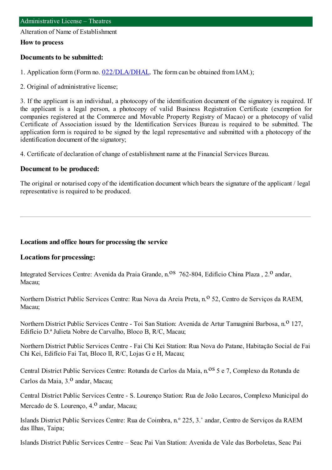Alteration of Name of Establishment

#### **How to process**

#### **Documents to be submitted:**

1. Application form (Form no. [022/DLA/DHAL](https://www.iam.gov.mo/c/pdf/eformDetail/PDF1013). The form can be obtained from IAM.);

2. Original of administrative license;

3. If the applicant is an individual, a photocopy of the identification document of the signatory is required. If the applicant is a legal person, a photocopy of valid Business Registration Certificate (exemption for companies registered at the Commerce and Movable Property Registry of Macao) or a photocopy of valid Certificate of Association issued by the Identification Services Bureau is required to be submitted. The application form is required to be signed by the legal representative and submitted with a photocopy of the identification document of the signatory;

4. Certificate of declaration of change of establishment name at the Financial Services Bureau.

### **Document to be produced:**

The original or notarised copy of the identification document which bears the signature of the applicant / legal representative is required to be produced.

### **Locations and office hours for processing the service**

### **Locations for processing:**

Integrated Services Centre: Avenida da Praia Grande, n.<sup>08</sup> 762-804, Edifício China Plaza, 2.<sup>0</sup> andar, Macau;

Northern District Public Services Centre: Rua Nova da Areia Preta, n.<sup>o</sup> 52, Centro de Serviços da RAEM, Macau;

Northern District Public Services Centre - Toi San Station: Avenida de Artur Tamagnini Barbosa, n.<sup>0</sup> 127, Edifício D.ª Julieta Nobre de Carvalho, Bloco B, R/C, Macau;

Northern District Public Services Centre - Fai Chi Kei Station: Rua Nova do Patane, Habitação Social de Fai Chi Kei, Edifício Fai Tat, Bloco II, R/C, Lojas G e H, Macau;

Central District Public Services Centre: Rotunda de Carlos da Maia, n.<sup>08</sup> 5 e 7, Complexo da Rotunda de Carlos da Maia, 3.º andar, Macau:

Central District Public Services Centre - S. Lourenço Station: Rua de João Lecaros, Complexo Municipal do Mercado de S. Lourenço, 4.<sup>0</sup> andar, Macau:

Islands District Public Services Centre: Rua de Coimbra, n.º 225, 3.˚ andar, Centro de Serviços da RAEM das Ilhas, Taipa;

Islands District Public Services Centre – Seac Pai Van Station: Avenida de Vale das Borboletas, Seac Pai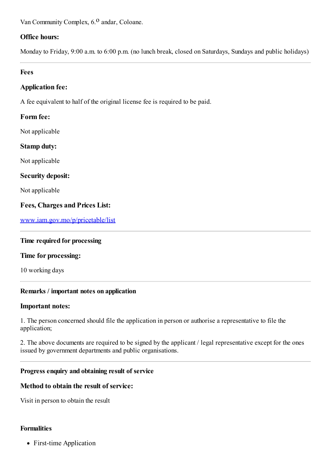Van Community Complex, 6.<sup>0</sup> andar, Coloane.

# **Office hours:**

Monday to Friday, 9:00 a.m. to 6:00 p.m. (no lunch break, closed on Saturdays, Sundays and public holidays)

### **Fees**

### **Application fee:**

A fee equivalent to half of the original license fee is required to be paid.

### **Form fee:**

Not applicable

### **Stamp duty:**

Not applicable

# **Security deposit:**

Not applicable

# **Fees, Charges and Prices List:**

[www.iam.gov.mo/p/pricetable/list](http://www.iam.gov.mo/p/pricetable/list)

### **Time required for processing**

### **Time for processing:**

10 working days

### **Remarks / important notes on application**

### **Important notes:**

1. The person concerned should file the application in person or authorise a representative to file the application;

2. The above documents are required to be signed by the applicant / legal representative except for the ones issued by government departments and public organisations.

### **Progress enquiry and obtaining result of service**

### **Method to obtain the result of service:**

Visit in person to obtain the result

### **Formalities**

• First-time Application